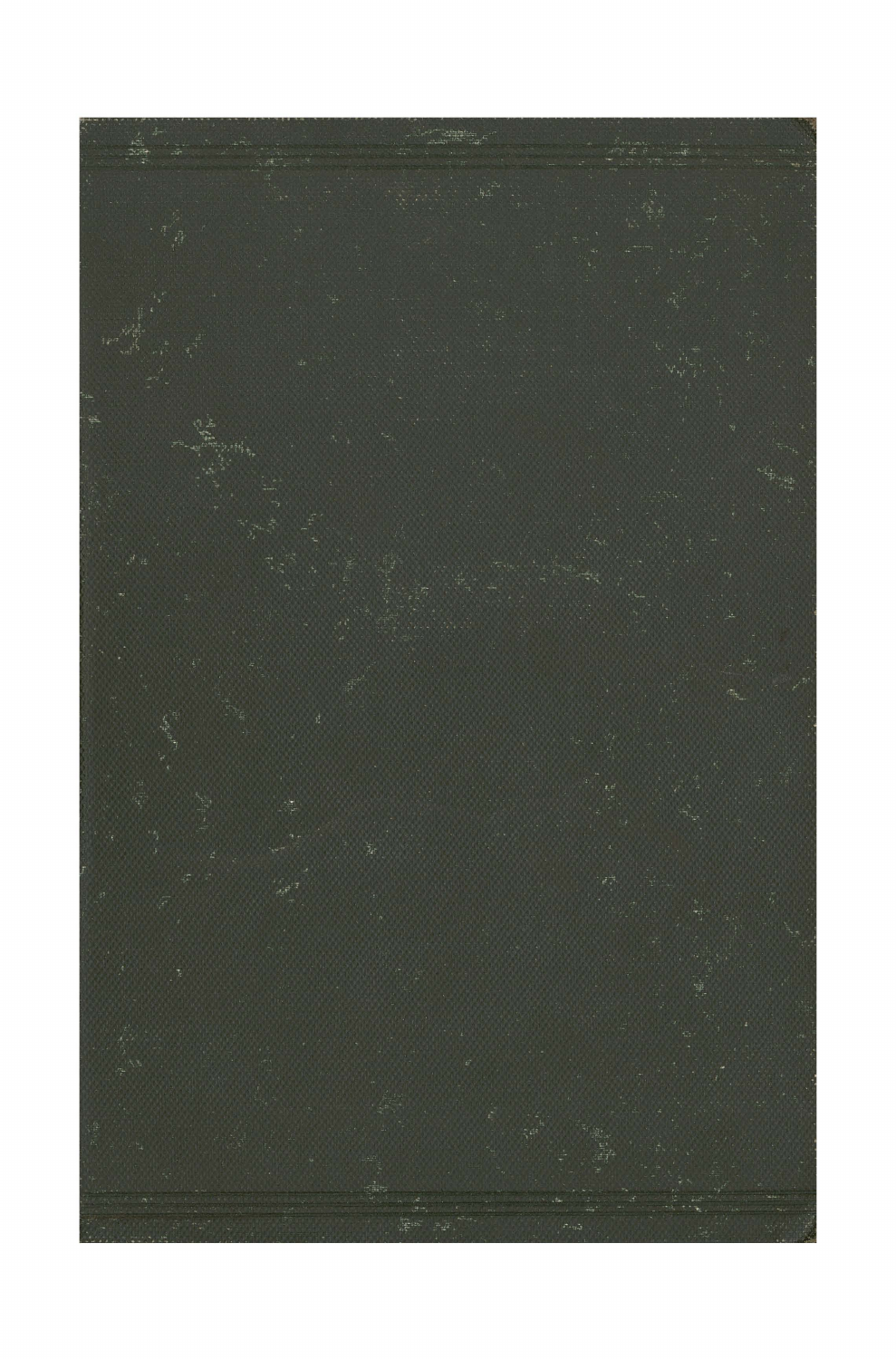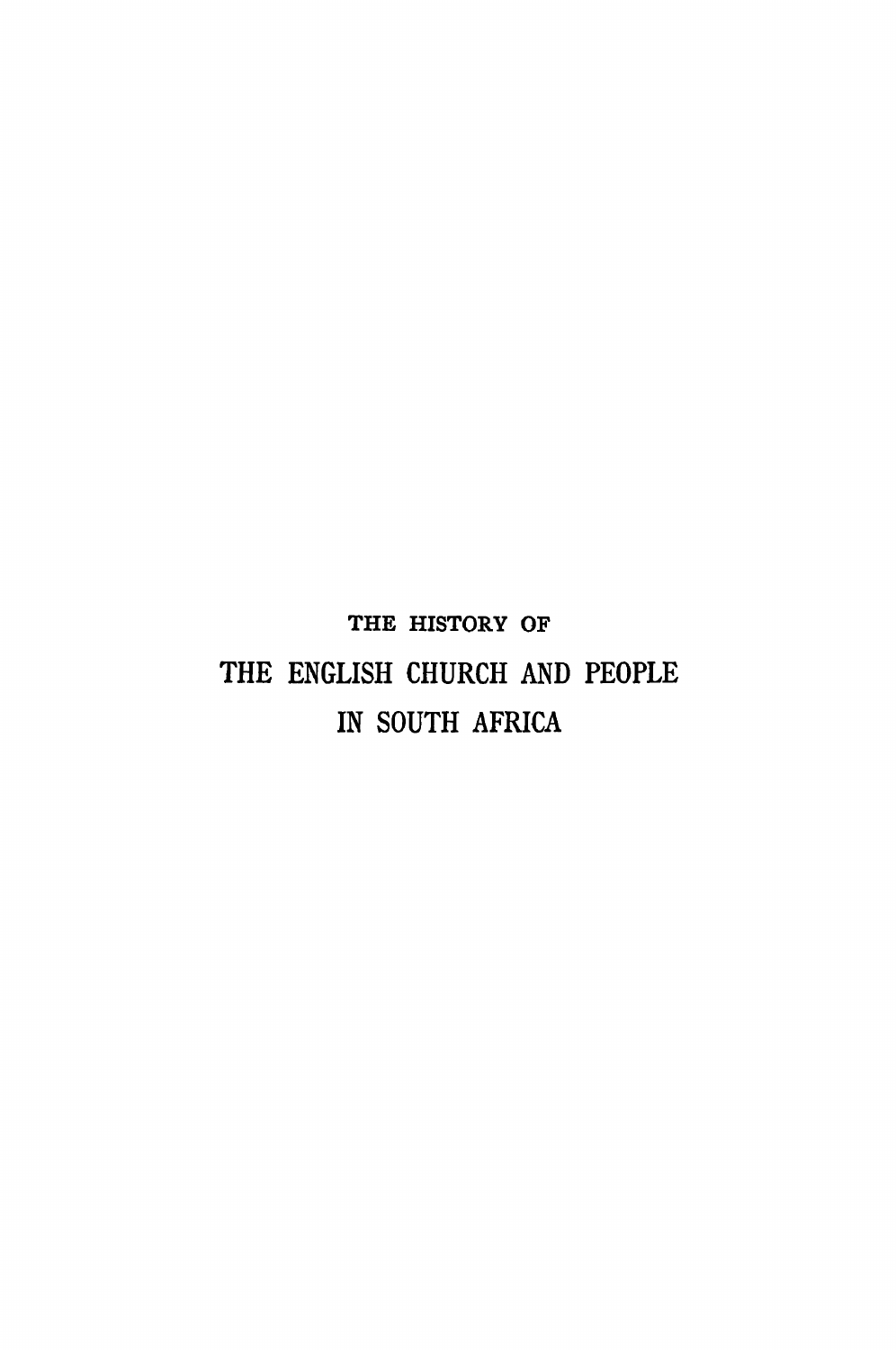THE HISTORY OF THE ENGLISH CHURCH AND PEOPLE IN SOUTH AFRICA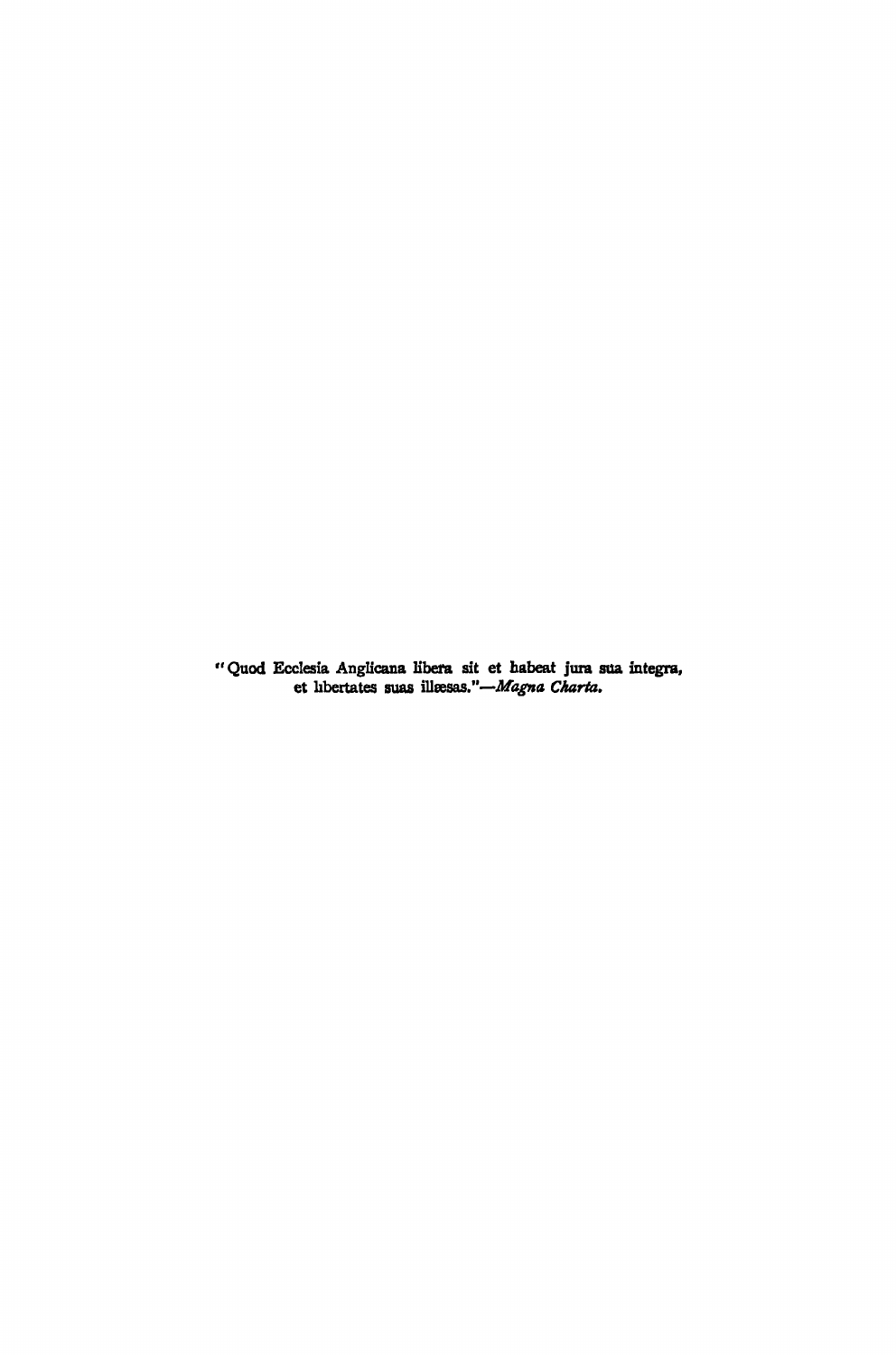"Quod Ecclesia Anglicana libera sit et habeat jura sua integra, et Ilbertates suas *illeesas,"-Magna Cllarla.*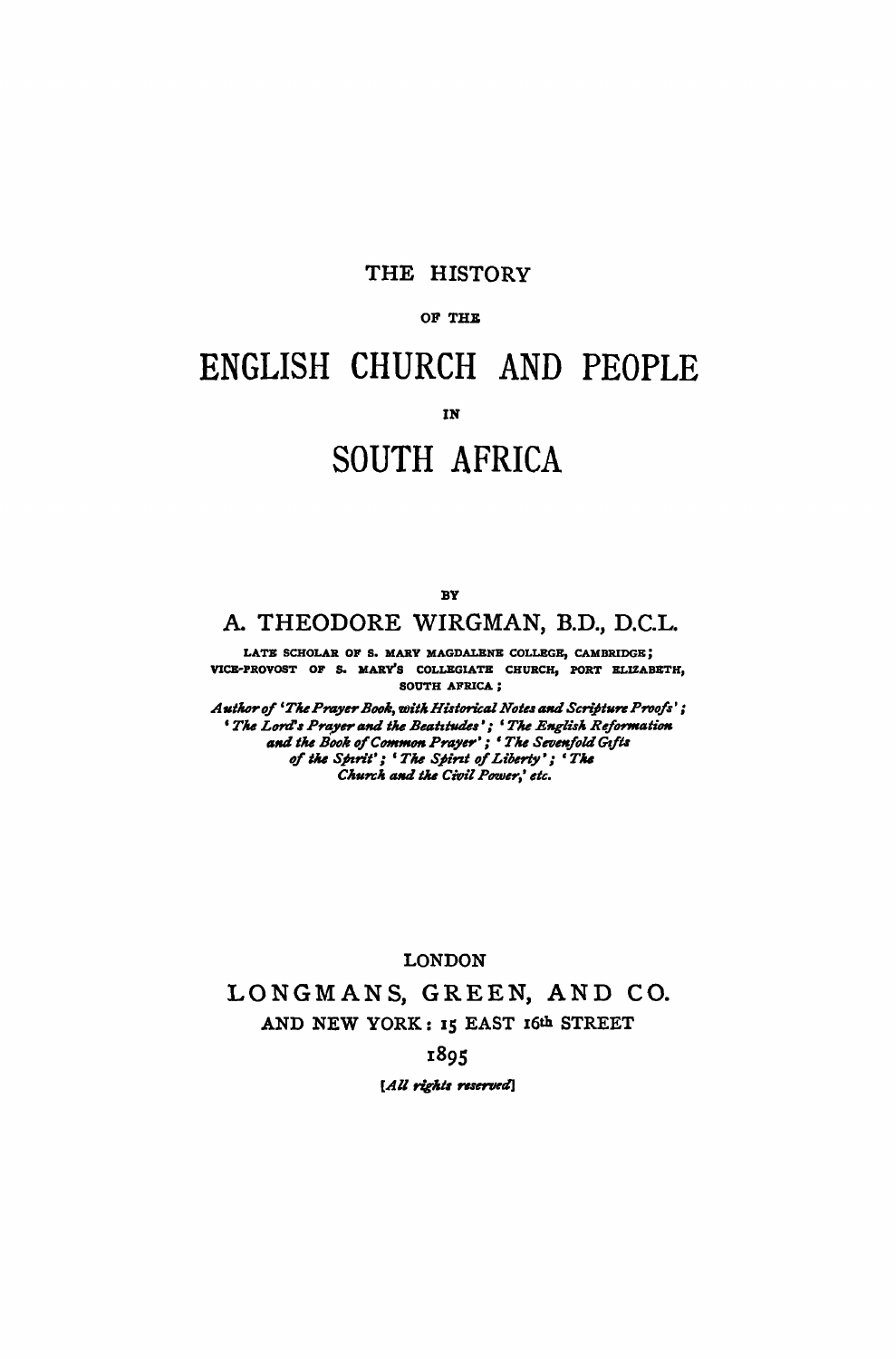### THE HISTORY

### OF THE

# ENGLISH CHURCH AND PEOPLE IN

# SOUTH AFRICA

BY

### A. THEODORE WIRGMAN, B.D., D.C.L.

LATE SCHOLAR OF S. MARY MAGDALENE COLLEGE, CAMBRIDGE; VICE-PROVOST OF S. MARY'S COLLEGIATE CHURCH, PORT ELIZABETH, SOUTH AFRICA :

Author of 'The Prayer Book, with Historical Notes and Scripture Proofs'; where  $\sigma$  a sum a sum and the Beattludes'; 'The English Reformation<br>and the Book of Common Prayer'; 'The Sevenfold Gifts<br>of the Spirit'; 'The Spirit of Liberty'; 'The Church and the Civil Power,' etc.

## **LONDON**

LONGMANS, GREEN, AND CO. AND NEW YORK: 15 EAST 16th STREET

1895

[All rights reserved]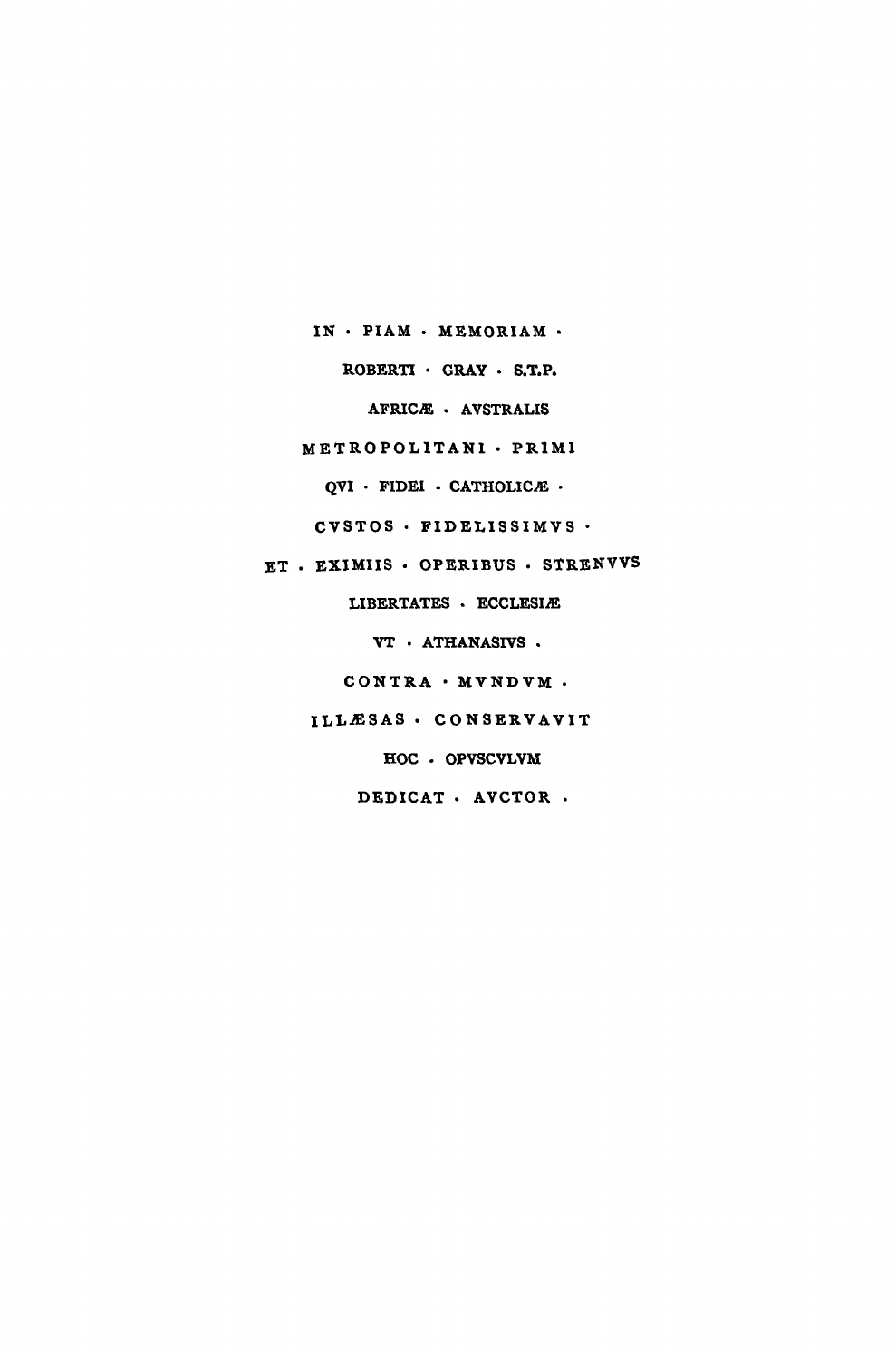IN • PIAM • MEMORIAM·

ROBERTI· GRAY. S.T.P.

AFRICÆ · AVSTRALIS

METROPOLITANI· PRIMI

QVI • FIDEI • CATHOLICÆ •

CVSTOS· FIDELISSIMVS •

ET • EXIMIIS • OPERIBUS • STRENVVS

LIBERTATES · ECCLESIÆ

VT · ATHANASIVS ·

CONTRA' MVNDVM •

ILLESAS . CONSERVAVIT

HOC. OPVSCVLVM

DEDICAT · AVCTOR ·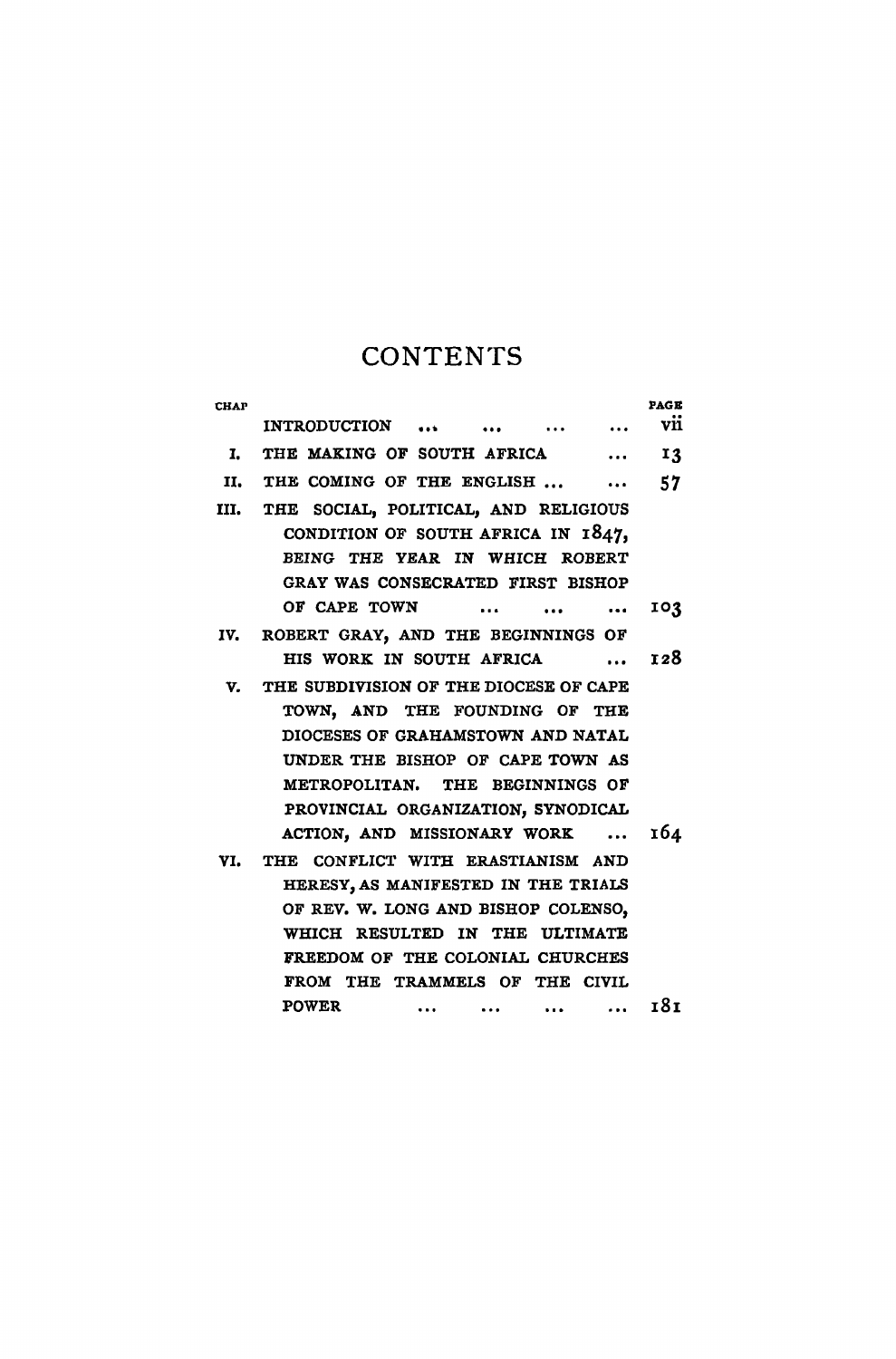## **CONTENTS**

| <b>CHAP</b> |                                                              | <b>PAGE</b><br>vii |
|-------------|--------------------------------------------------------------|--------------------|
|             | INTRODUCTION                                                 |                    |
| L.          | THE MAKING OF SOUTH AFRICA<br>$\cdots$                       | 13                 |
| 11.         | THE COMING OF THE ENGLISH   57                               |                    |
|             | III. THE SOCIAL, POLITICAL, AND RELIGIOUS                    |                    |
|             | CONDITION OF SOUTH AFRICA IN $1847$ ,                        |                    |
|             | BEING THE YEAR IN WHICH ROBERT                               |                    |
|             | GRAY WAS CONSECRATED FIRST BISHOP                            |                    |
|             | OF CAPE TOWN                                                 | 103                |
| IV.         | ROBERT GRAY, AND THE BEGINNINGS OF                           |                    |
|             | HIS WORK IN SOUTH AFRICA                                     | 128                |
| v.          | THE SUBDIVISION OF THE DIOCESE OF CAPE                       |                    |
|             | TOWN, AND THE FOUNDING OF THE                                |                    |
|             | DIOCESES OF GRAHAMSTOWN AND NATAL                            |                    |
|             | UNDER THE BISHOP OF CAPE TOWN AS                             |                    |
|             | METROPOLITAN. THE BEGINNINGS OF                              |                    |
|             | PROVINCIAL ORGANIZATION, SYNODICAL                           |                    |
|             | ACTION, AND MISSIONARY WORK                                  | 164                |
| VI.         | THE CONFLICT WITH ERASTIANISM AND                            |                    |
|             | HERESY, AS MANIFESTED IN THE TRIALS                          |                    |
|             | OF REV. W. LONG AND BISHOP COLENSO,                          |                    |
|             | WHICH RESULTED IN THE ULTIMATE                               |                    |
|             | FREEDOM OF THE COLONIAL CHURCHES                             |                    |
|             | FROM THE TRAMMELS OF THE CIVIL                               |                    |
|             | <b>POWER</b><br>$\cdots$<br>$\cdots$<br>$\cdots$<br>$\cdots$ | 181                |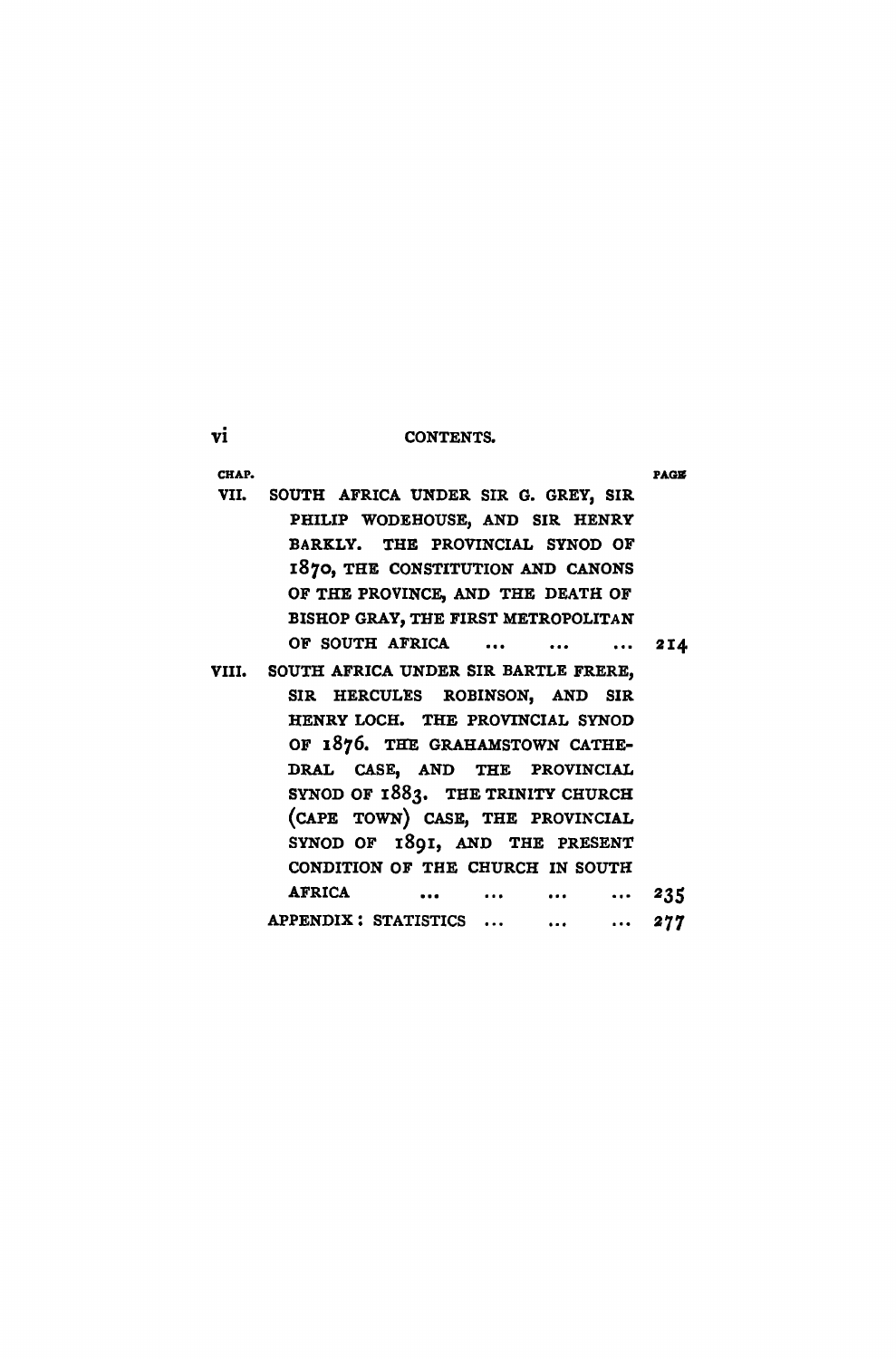### vi CONTENTS.

| CHAP. |                                                                | PAGE |
|-------|----------------------------------------------------------------|------|
|       | VII. SOUTH AFRICA UNDER SIR G. GREY, SIR                       |      |
|       | PHILIP WODEHOUSE, AND SIR HENRY                                |      |
|       | BARKLY. THE PROVINCIAL SYNOD OF                                |      |
|       | 1870, THE CONSTITUTION AND CANONS                              |      |
|       | OF THE PROVINCE, AND THE DEATH OF                              |      |
|       | BISHOP GRAY, THE FIRST METROPOLITAN                            |      |
|       | OF SOUTH AFRICA    214                                         |      |
|       | VIII. SOUTH AFRICA UNDER SIR BARTLE FRERE,                     |      |
|       | SIR HERCULES ROBINSON, AND SIR                                 |      |
|       | HENRY LOCH. THE PROVINCIAL SYNOD                               |      |
|       | OF 1876. THE GRAHAMSTOWN CATHE-                                |      |
|       | DRAL CASE, AND THE PROVINCIAL                                  |      |
|       | SYNOD OF 1883. THE TRINITY CHURCH                              |      |
|       | (CAPE TOWN) CASE, THE PROVINCIAL                               |      |
|       | SYNOD OF 1891, AND THE PRESENT                                 |      |
|       | CONDITION OF THE CHURCH IN SOUTH                               |      |
|       | <b>AFRICA</b><br><b>Contract Contract Contract</b><br>$\cdots$ | 235  |
|       | APPENDIX: STATISTICS                                           | 277  |
|       |                                                                |      |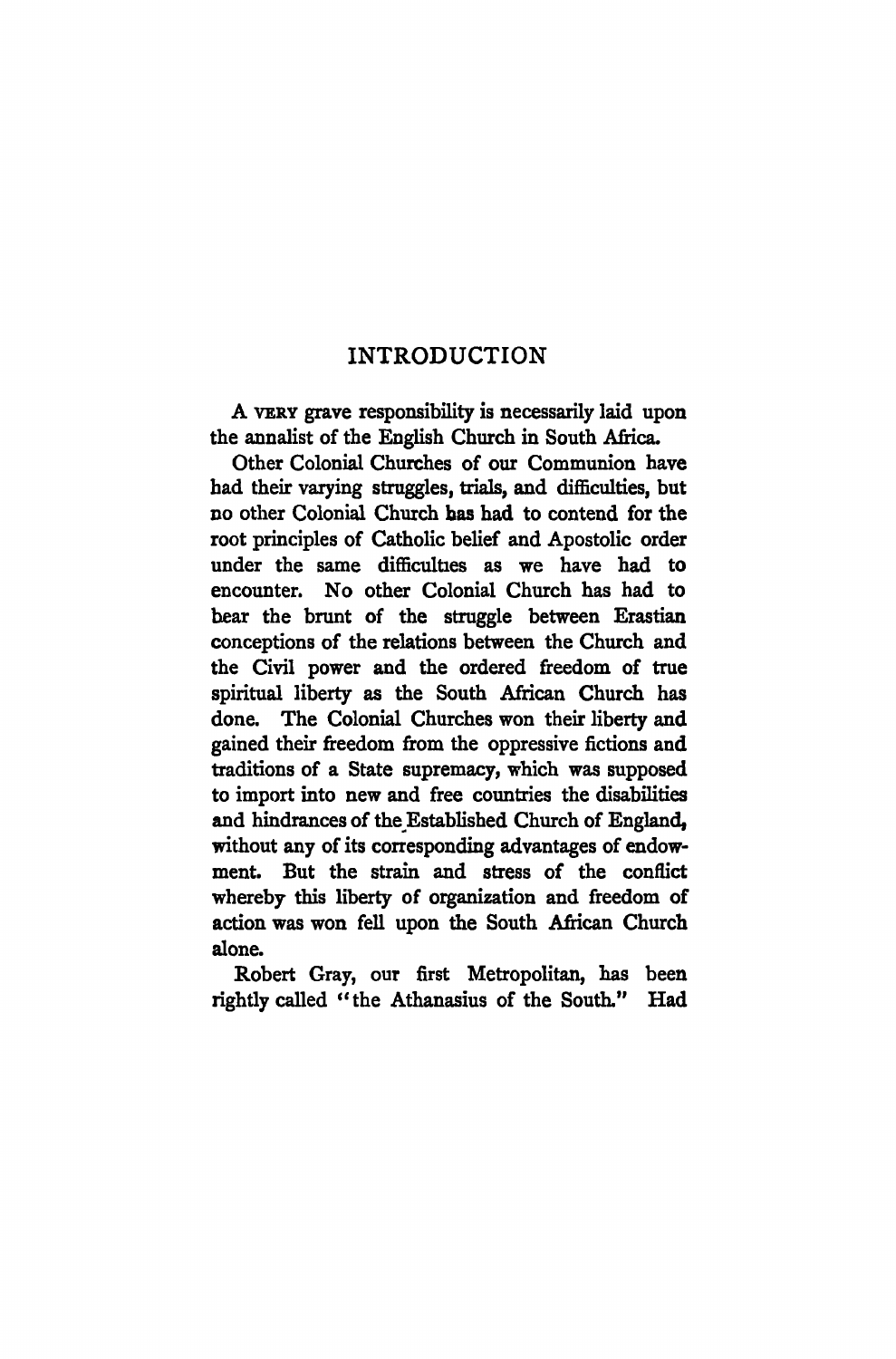### INTRODUCTION

A VERY grave responsibility is necessarily laid upon the annalist of the English Church in South Africa.

Other Colonial Churches of our Communion have had their varying struggles, trials, and difficulties, but no other Colonial Church has had to contend for the root principles of Catholic belief and Apostolic order under the same difficulties as we have bad to encounter. No other Colonial Church has had to hear the brunt of the struggle between Erastian conceptions of the relations between the Church and the Civil power and the ordered freedom of true spiritual liberty as the South African Church has done. The Colonial Churches won their liberty and gained their freedom from the oppressive fictions and traditions of a State supremacy, which was supposed to import into new and free countries the disabilities and hindrances of the Established Church of England, without any of its corresponding advantages of endowment. But the strain and stress of the conflict whereby this liberty of organization and freedom of action was won fell upon the South Mrican Church alone.

Robert Gray, our first Metropolitan, has been rightly called "the Athanasius of the South." Had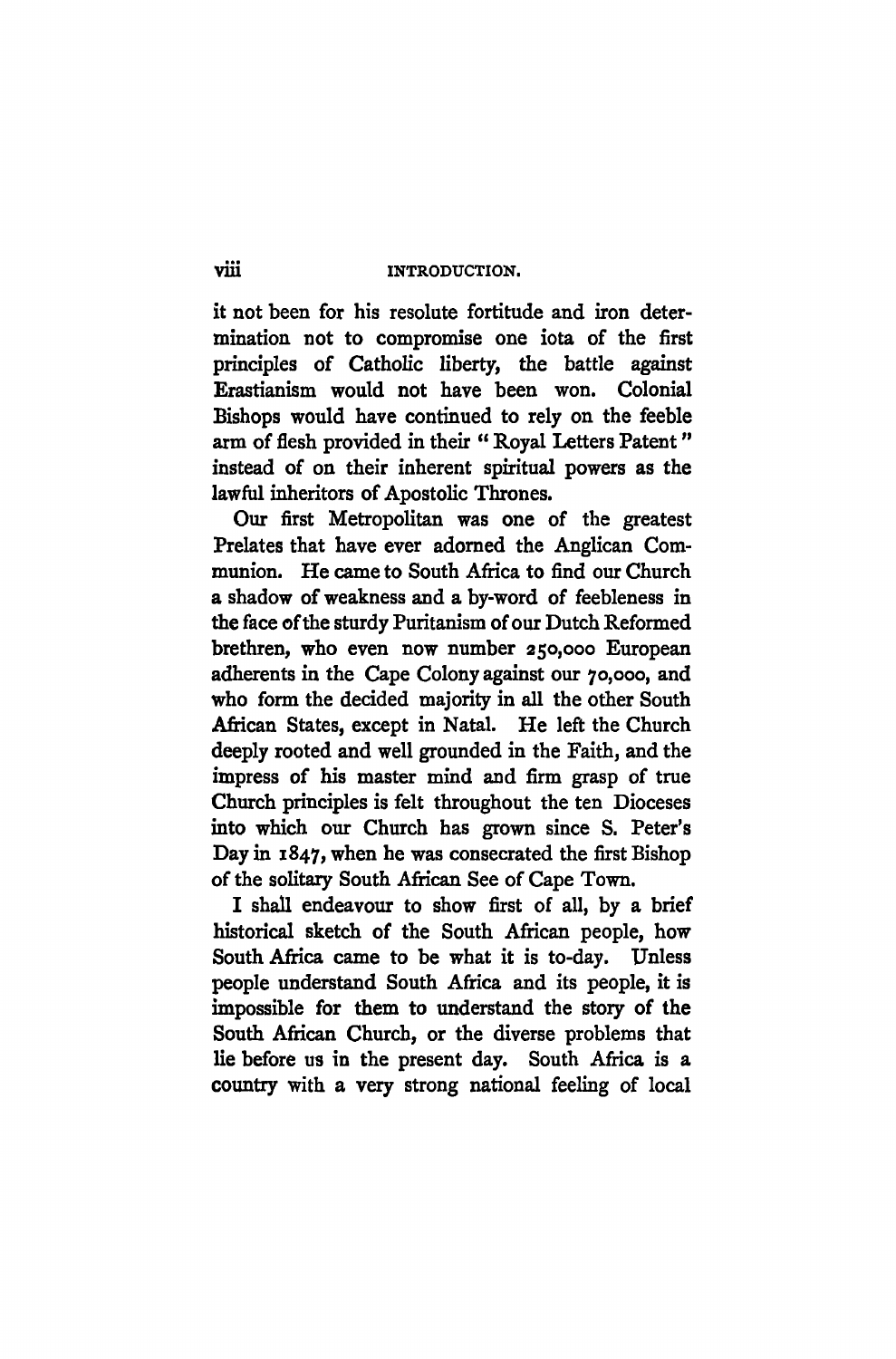### viii INTRODUCTION.

it not been for his resolute fortitude and iron determination not to compromise one iota of the first principles of Catholic liberty, the battle against Erastianism would not have been won. Colonial Bishops would have continued to rely on the feeble arm of flesh provided in their " Royal Letters Patent" instead of on their inherent spiritual powers as the lawful inheritors of Apostolic Thrones.

Our first Metropolitan was one of the greatest Prelates that have ever adorned the Anglican Communion. He came to South Africa to find our Church a shadow of weakness and a by-word of feebleness in the face of the sturdy Puritanism of our Dutch Reformed brethren, who even now number 250,000 European adherents in the Cape Colony against our 70,000, and who form the decided majority in all the other South African States, except in Natal. He left the Church deeply rooted and well grounded in the Faith, and the impress of his master mind and firm grasp of true Church principles is felt throughout the ten Dioceses into which our Church has grown since S. Peter's Day in 1847, when he was consecrated the first Bishop of the solitary South African See of Cape Town.

I shall endeavour to show first of all, by a brief historical sketch of the South African people, how South Africa came to be what it is to-day. Unless people understand South Africa and its people, it is impossible for them to understand the story of the South African Church, or the diverse problems that lie before us in the present day. South Africa is a country with a very strong national feeling of local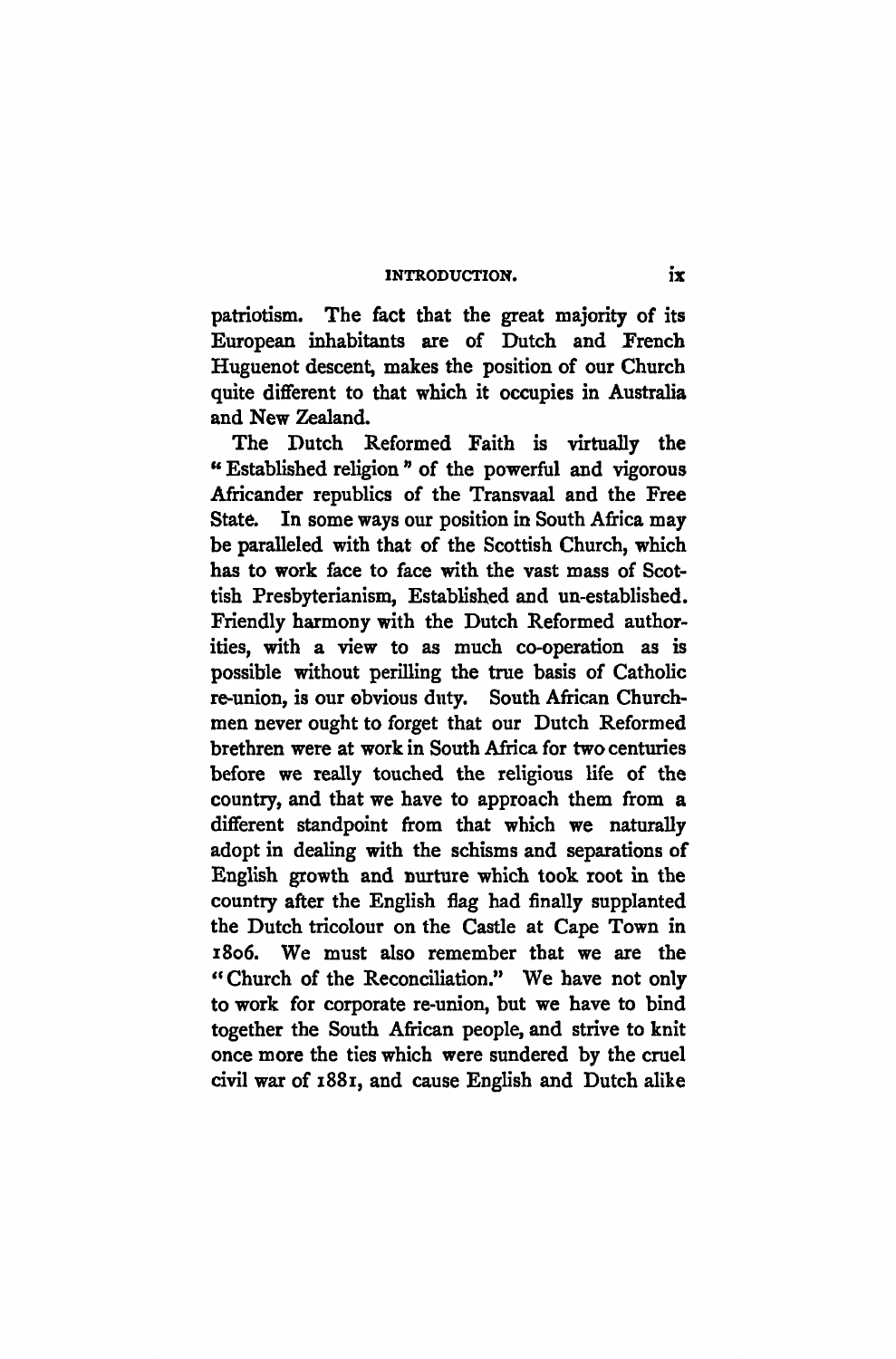INTRODUCTION. ix

patriotism. The fact that the great majority of its European inhabitants are of Dutch and French Huguenot descent, makes the position of our Church quite different to that which it occupies in Australia and New Zealand.

The Dutch Reformed Faith is virtually the " Established religion" of the powerful and vigorous Africander republics of the Transvaal and the Free State. In some ways our position in South Africa may be paralleled with that of the Scottish Church, which has to work face to face with the vast mass of Scottish Presbyterianism, Established and un-established. Friendly harmony with the Dutch Reformed authorities, with a view to as much co-operation as is possible without perilling the true basis of Catholic re-union, is our obvious duty. South African Churchmen never ought to forget that our Dutch Reformed brethren were at work in South Mrica for two centuries before we really touched the religious life of the country, and that we have to approach them from a different standpoint from that which we naturally adopt in dealing with the schisms and separations of English growth and nurture which took root in the country after the English flag had finally supplanted the Dutch tricolour on the Castle at Cape Town in 1806. We must also remember that we are the "Church of the Reconciliation." We have not only to work for corporate re-union, but we have to bind together the South African people, and strive to knit once more the ties which were sundered by the cruel civil war of 1881, and cause English and Dutch alike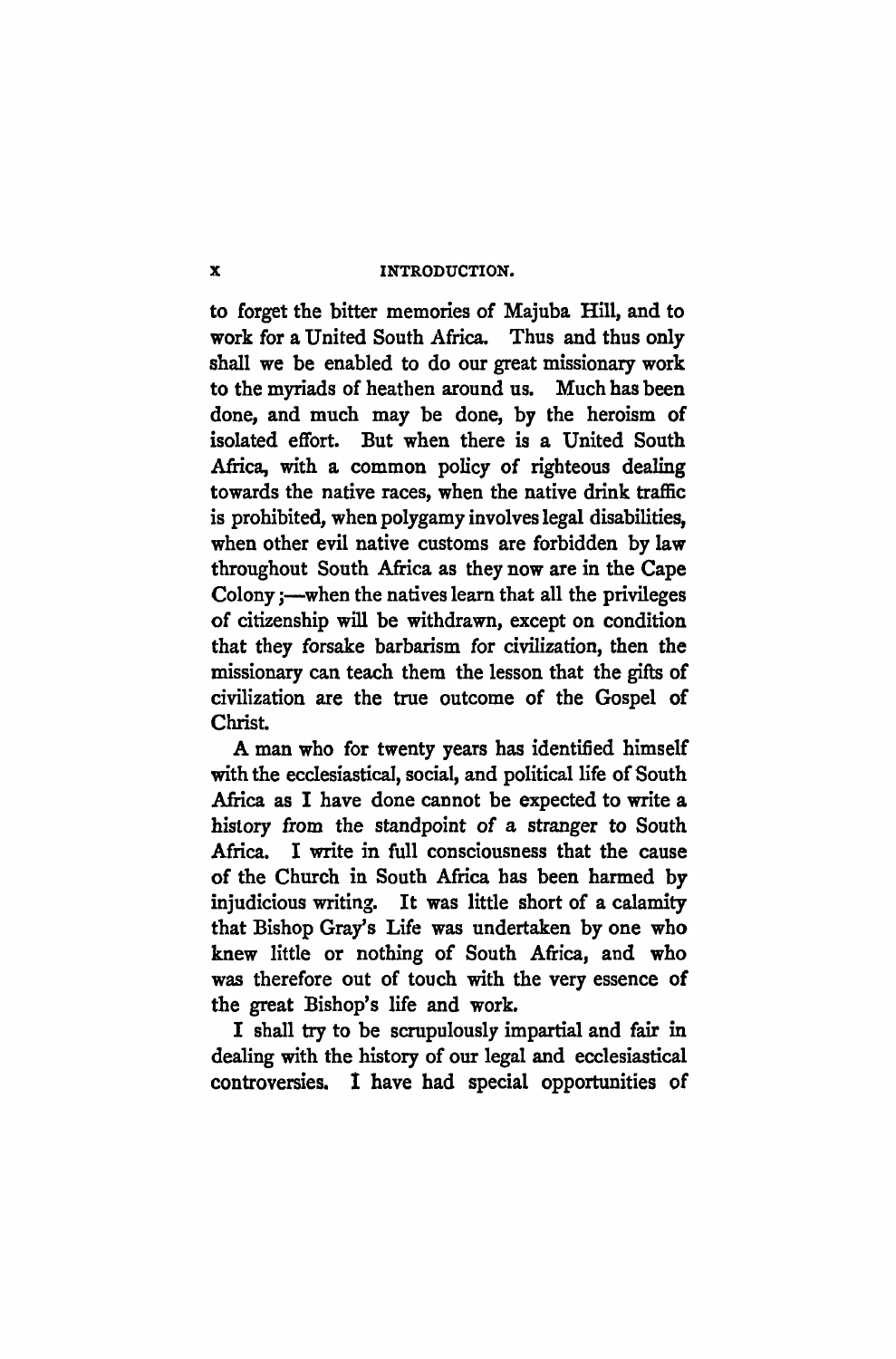### x INTRODUCTION.

to forget the bitter memories of Majuba Hill, and to work for a United South Africa. Thus and thus only shall we be enabled to do our great missionary work to the myriads of heathen around us. Much bas been done, and much may be done, by the heroism of isolated effort. But when there is a United South Africa, with a common policy of righteous dealing towards the native races, when the native drink traffic is prohibited, when polygamy involveslegal disabilities, when other evil native customs are forbidden by law throughout South Africa as they now are in the Cape Colony;-when the nativeslearn that all the privileges of citizenship will be withdrawn, except on condition that they forsake barbarism for civilization, then the missionary can teach them the lesson that the gifts of civilization are the true outcome of the Gospel of Christ.

A man who for twenty years has identified himself with the ecclesiastical, social, and political life of South Africa as I have done cannot be expected to write a history from the standpoint of a stranger to South Africa. I write in full consciousness that the cause of the Church in South Africa has been harmed by injudicious writing. It was little short of a calamity that Bishop Gray's Life was undertaken by one who knew little or nothing of South Africa, and who was therefore out of touch with the very essence of the great Bishop's life and work.

I shall try to be scrupulously impartial and fair in dealing with the history of our legal and ecclesiastical controversies. 1 have had special opportunities of